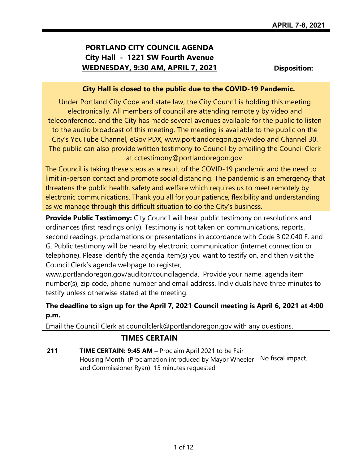# **PORTLAND CITY COUNCIL AGENDA City Hall - 1221 SW Fourth Avenue WEDNESDAY, 9:30 AM, APRIL 7, 2021**

**Disposition:**

### **City Hall is closed to the public due to the COVID-19 Pandemic.**

Under Portland City Code and state law, the City Council is holding this meeting electronically. All members of council are attending remotely by video and teleconference, and the City has made several avenues available for the public to listen to the audio broadcast of this meeting. The meeting is available to the public on the City's YouTube Channel, eGov PDX, www.portlandoregon.gov/video and Channel 30. The public can also provide written testimony to Council by emailing the Council Clerk at cctestimony@portlandoregon.gov.

The Council is taking these steps as a result of the COVID-19 pandemic and the need to limit in-person contact and promote social distancing. The pandemic is an emergency that threatens the public health, safety and welfare which requires us to meet remotely by electronic communications. Thank you all for your patience, flexibility and understanding as we manage through this difficult situation to do the City's business.

**Provide Public Testimony:** City Council will hear public testimony on resolutions and ordinances (first readings only). Testimony is not taken on communications, reports, second readings, proclamations or presentations in accordance with Code 3.02.040 F. and G. Public testimony will be heard by electronic communication (internet connection or telephone). Please identify the agenda item(s) you want to testify on, and then visit the Council Clerk's agenda webpage to register,

www.portlandoregon.gov/auditor/councilagenda. Provide your name, agenda item number(s), zip code, phone number and email address. Individuals have three minutes to testify unless otherwise stated at the meeting.

## **The deadline to sign up for the April 7, 2021 Council meeting is April 6, 2021 at 4:00 p.m.**

Email the Council Clerk at councilclerk@portlandoregon.gov with any questions.

| <b>TIMES CERTAIN</b>                                                                                                                                                     |                   |
|--------------------------------------------------------------------------------------------------------------------------------------------------------------------------|-------------------|
| TIME CERTAIN: 9:45 AM - Proclaim April 2021 to be Fair<br>211<br>Housing Month (Proclamation introduced by Mayor Wheeler)<br>and Commissioner Ryan) 15 minutes requested | No fiscal impact. |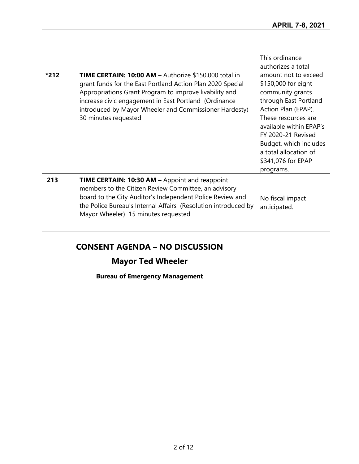| *212 | TIME CERTAIN: 10:00 AM - Authorize \$150,000 total in<br>grant funds for the East Portland Action Plan 2020 Special<br>Appropriations Grant Program to improve livability and<br>increase civic engagement in East Portland (Ordinance<br>introduced by Mayor Wheeler and Commissioner Hardesty)<br>30 minutes requested | This ordinance<br>authorizes a total<br>amount not to exceed<br>\$150,000 for eight<br>community grants<br>through East Portland<br>Action Plan (EPAP).<br>These resources are<br>available within EPAP's<br><b>FY 2020-21 Revised</b><br>Budget, which includes<br>a total allocation of<br>\$341,076 for EPAP<br>programs. |
|------|--------------------------------------------------------------------------------------------------------------------------------------------------------------------------------------------------------------------------------------------------------------------------------------------------------------------------|------------------------------------------------------------------------------------------------------------------------------------------------------------------------------------------------------------------------------------------------------------------------------------------------------------------------------|
| 213  | <b>TIME CERTAIN: 10:30 AM - Appoint and reappoint</b><br>members to the Citizen Review Committee, an advisory<br>board to the City Auditor's Independent Police Review and<br>the Police Bureau's Internal Affairs (Resolution introduced by<br>Mayor Wheeler) 15 minutes requested                                      | No fiscal impact<br>anticipated.                                                                                                                                                                                                                                                                                             |
|      | <b>CONSENT AGENDA - NO DISCUSSION</b><br><b>Mayor Ted Wheeler</b><br><b>Bureau of Emergency Management</b>                                                                                                                                                                                                               |                                                                                                                                                                                                                                                                                                                              |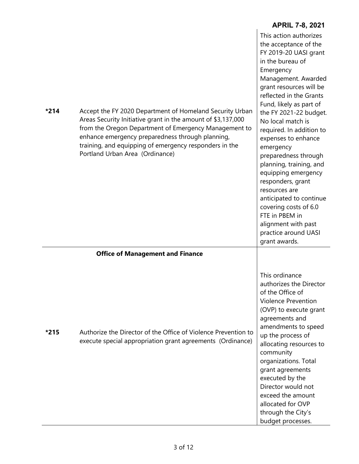|      |                                                                                                                                                                                                                                                                                                                                    | <b>APRIL 7-8, 2021</b>                                                                                                                                                                                                                                                                                                                                                                                                                                                                                                                                                                 |
|------|------------------------------------------------------------------------------------------------------------------------------------------------------------------------------------------------------------------------------------------------------------------------------------------------------------------------------------|----------------------------------------------------------------------------------------------------------------------------------------------------------------------------------------------------------------------------------------------------------------------------------------------------------------------------------------------------------------------------------------------------------------------------------------------------------------------------------------------------------------------------------------------------------------------------------------|
| *214 | Accept the FY 2020 Department of Homeland Security Urban<br>Areas Security Initiative grant in the amount of \$3,137,000<br>from the Oregon Department of Emergency Management to<br>enhance emergency preparedness through planning,<br>training, and equipping of emergency responders in the<br>Portland Urban Area (Ordinance) | This action authorizes<br>the acceptance of the<br>FY 2019-20 UASI grant<br>in the bureau of<br>Emergency<br>Management. Awarded<br>grant resources will be<br>reflected in the Grants<br>Fund, likely as part of<br>the FY 2021-22 budget.<br>No local match is<br>required. In addition to<br>expenses to enhance<br>emergency<br>preparedness through<br>planning, training, and<br>equipping emergency<br>responders, grant<br>resources are<br>anticipated to continue<br>covering costs of 6.0<br>FTE in PBEM in<br>alignment with past<br>practice around UASI<br>grant awards. |
|      | <b>Office of Management and Finance</b>                                                                                                                                                                                                                                                                                            |                                                                                                                                                                                                                                                                                                                                                                                                                                                                                                                                                                                        |
| *215 | Authorize the Director of the Office of Violence Prevention to<br>execute special appropriation grant agreements (Ordinance)                                                                                                                                                                                                       | This ordinance<br>authorizes the Director<br>of the Office of<br><b>Violence Prevention</b><br>(OVP) to execute grant<br>agreements and<br>amendments to speed<br>up the process of<br>allocating resources to<br>community<br>organizations. Total<br>grant agreements<br>executed by the<br>Director would not<br>exceed the amount<br>allocated for OVP<br>through the City's<br>budget processes.                                                                                                                                                                                  |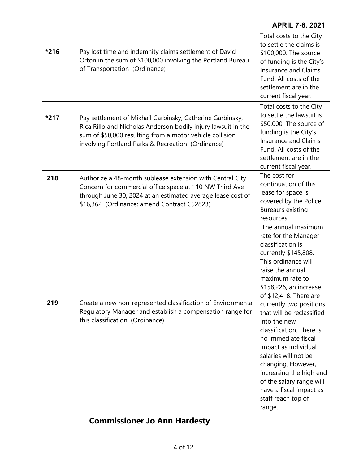### **APRIL 7-8, 2021**

|        | <b>Commissioner Jo Ann Hardesty</b>                                                                                                                                                                                                         |                                                                                                                                                                                                                                                                                                                                                                                                                                                                                                                                              |
|--------|---------------------------------------------------------------------------------------------------------------------------------------------------------------------------------------------------------------------------------------------|----------------------------------------------------------------------------------------------------------------------------------------------------------------------------------------------------------------------------------------------------------------------------------------------------------------------------------------------------------------------------------------------------------------------------------------------------------------------------------------------------------------------------------------------|
| 219    | Create a new non-represented classification of Environmental<br>Regulatory Manager and establish a compensation range for<br>this classification (Ordinance)                                                                                | resources.<br>The annual maximum<br>rate for the Manager I<br>classification is<br>currently \$145,808.<br>This ordinance will<br>raise the annual<br>maximum rate to<br>\$158,226, an increase<br>of \$12,418. There are<br>currently two positions<br>that will be reclassified<br>into the new<br>classification. There is<br>no immediate fiscal<br>impact as individual<br>salaries will not be<br>changing. However,<br>increasing the high end<br>of the salary range will<br>have a fiscal impact as<br>staff reach top of<br>range. |
| 218    | Authorize a 48-month sublease extension with Central City<br>Concern for commercial office space at 110 NW Third Ave<br>through June 30, 2024 at an estimated average lease cost of<br>\$16,362 (Ordinance; amend Contract C52823)          | The cost for<br>continuation of this<br>lease for space is<br>covered by the Police<br>Bureau's existing                                                                                                                                                                                                                                                                                                                                                                                                                                     |
| *217   | Pay settlement of Mikhail Garbinsky, Catherine Garbinsky,<br>Rica Rillo and Nicholas Anderson bodily injury lawsuit in the<br>sum of \$50,000 resulting from a motor vehicle collision<br>involving Portland Parks & Recreation (Ordinance) | Total costs to the City<br>to settle the lawsuit is<br>\$50,000. The source of<br>funding is the City's<br><b>Insurance and Claims</b><br>Fund. All costs of the<br>settlement are in the<br>current fiscal year.                                                                                                                                                                                                                                                                                                                            |
| $*216$ | Pay lost time and indemnity claims settlement of David<br>Orton in the sum of \$100,000 involving the Portland Bureau<br>of Transportation (Ordinance)                                                                                      | Total costs to the City<br>to settle the claims is<br>\$100,000. The source<br>of funding is the City's<br><b>Insurance and Claims</b><br>Fund. All costs of the<br>settlement are in the<br>current fiscal year.                                                                                                                                                                                                                                                                                                                            |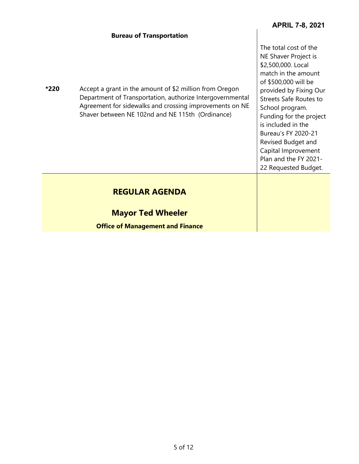### **Bureau of Transportation**

| Accept a grant in the amount of \$2 million from Oregon<br>*220<br>Department of Transportation, authorize Intergovernmental<br>Agreement for sidewalks and crossing improvements on NE<br>Shaver between NE 102nd and NE 115th (Ordinance) | The total cost of the<br>NE Shaver Project is<br>\$2,500,000. Local<br>match in the amount<br>of \$500,000 will be<br>provided by Fixing Our<br><b>Streets Safe Routes to</b><br>School program.<br>Funding for the project<br>is included in the<br>Bureau's FY 2020-21<br>Revised Budget and<br>Capital Improvement<br>Plan and the FY 2021-<br>22 Requested Budget. |
|---------------------------------------------------------------------------------------------------------------------------------------------------------------------------------------------------------------------------------------------|------------------------------------------------------------------------------------------------------------------------------------------------------------------------------------------------------------------------------------------------------------------------------------------------------------------------------------------------------------------------|
| <b>REGULAR AGENDA</b><br><b>Mayor Ted Wheeler</b><br><b>Office of Management and Finance</b>                                                                                                                                                |                                                                                                                                                                                                                                                                                                                                                                        |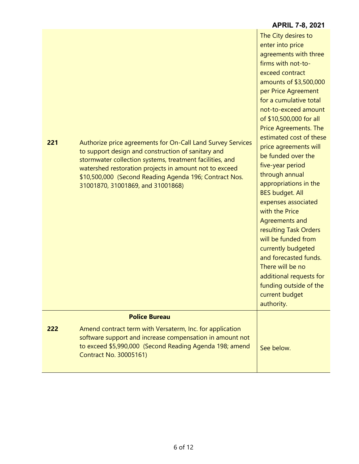|     |                                                                                                                                                                                                                                                                                                                                        | <b>APRIL 7-8, 2021</b>                                                                                                                                                                                                                                                                                                                                                                                                                                                                                                                                                                                                                                                                                 |
|-----|----------------------------------------------------------------------------------------------------------------------------------------------------------------------------------------------------------------------------------------------------------------------------------------------------------------------------------------|--------------------------------------------------------------------------------------------------------------------------------------------------------------------------------------------------------------------------------------------------------------------------------------------------------------------------------------------------------------------------------------------------------------------------------------------------------------------------------------------------------------------------------------------------------------------------------------------------------------------------------------------------------------------------------------------------------|
| 221 | Authorize price agreements for On-Call Land Survey Services<br>to support design and construction of sanitary and<br>stormwater collection systems, treatment facilities, and<br>watershed restoration projects in amount not to exceed<br>\$10,500,000 (Second Reading Agenda 196; Contract Nos.<br>31001870, 31001869, and 31001868) | The City desires to<br>enter into price<br>agreements with three<br>firms with not-to-<br>exceed contract<br>amounts of \$3,500,000<br>per Price Agreement<br>for a cumulative total<br>not-to-exceed amount<br>of \$10,500,000 for all<br>Price Agreements. The<br>estimated cost of these<br>price agreements will<br>be funded over the<br>five-year period<br>through annual<br>appropriations in the<br><b>BES budget. All</b><br>expenses associated<br>with the Price<br>Agreements and<br>resulting Task Orders<br>will be funded from<br>currently budgeted<br>and forecasted funds.<br>There will be no<br>additional requests for<br>funding outside of the<br>current budget<br>authority. |
|     | <b>Police Bureau</b>                                                                                                                                                                                                                                                                                                                   |                                                                                                                                                                                                                                                                                                                                                                                                                                                                                                                                                                                                                                                                                                        |
| 222 | Amend contract term with Versaterm, Inc. for application<br>software support and increase compensation in amount not<br>to exceed \$5,990,000 (Second Reading Agenda 198; amend<br><b>Contract No. 30005161)</b>                                                                                                                       | See below.                                                                                                                                                                                                                                                                                                                                                                                                                                                                                                                                                                                                                                                                                             |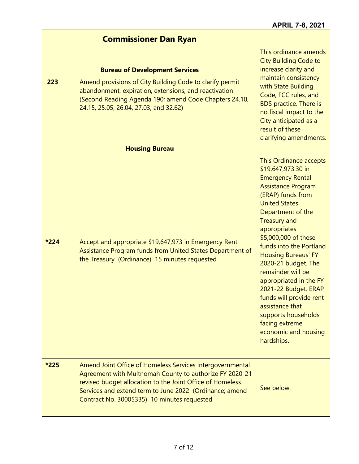|        | <b>Commissioner Dan Ryan</b>                                                                                                                                                                                                                                                                |                                                                                                                                                                                                                                                                                                                                                                                                                                                                                                                           |
|--------|---------------------------------------------------------------------------------------------------------------------------------------------------------------------------------------------------------------------------------------------------------------------------------------------|---------------------------------------------------------------------------------------------------------------------------------------------------------------------------------------------------------------------------------------------------------------------------------------------------------------------------------------------------------------------------------------------------------------------------------------------------------------------------------------------------------------------------|
| 223    | <b>Bureau of Development Services</b><br>Amend provisions of City Building Code to clarify permit<br>abandonment, expiration, extensions, and reactivation<br>(Second Reading Agenda 190; amend Code Chapters 24.10,<br>24.15, 25.05, 26.04, 27.03, and 32.62)                              | This ordinance amends<br><b>City Building Code to</b><br>increase clarity and<br>maintain consistency<br>with State Building<br>Code, FCC rules, and<br><b>BDS</b> practice. There is<br>no fiscal impact to the<br>City anticipated as a<br>result of these<br>clarifying amendments.                                                                                                                                                                                                                                    |
|        | <b>Housing Bureau</b>                                                                                                                                                                                                                                                                       |                                                                                                                                                                                                                                                                                                                                                                                                                                                                                                                           |
| $*224$ | Accept and appropriate \$19,647,973 in Emergency Rent<br>Assistance Program funds from United States Department of<br>the Treasury (Ordinance) 15 minutes requested                                                                                                                         | This Ordinance accepts<br>\$19,647,973.30 in<br><b>Emergency Rental</b><br><b>Assistance Program</b><br>(ERAP) funds from<br><b>United States</b><br>Department of the<br><b>Treasury and</b><br>appropriates<br>\$5,000,000 of these<br>funds into the Portland<br><b>Housing Bureaus' FY</b><br>2020-21 budget. The<br>remainder will be<br>appropriated in the FY<br>2021-22 Budget. ERAP<br>funds will provide rent<br>assistance that<br>supports households<br>facing extreme<br>economic and housing<br>hardships. |
| *225   | Amend Joint Office of Homeless Services Intergovernmental<br>Agreement with Multnomah County to authorize FY 2020-21<br>revised budget allocation to the Joint Office of Homeless<br>Services and extend term to June 2022 (Ordinance; amend<br>Contract No. 30005335) 10 minutes requested | See below.                                                                                                                                                                                                                                                                                                                                                                                                                                                                                                                |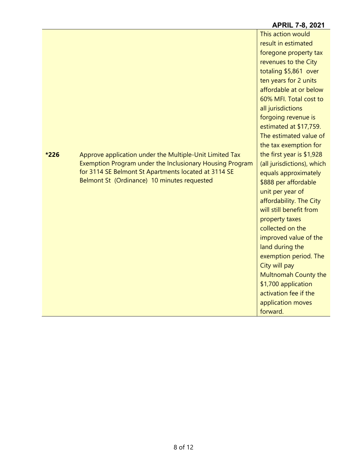|      |                                                          | This action would          |
|------|----------------------------------------------------------|----------------------------|
|      |                                                          | result in estimated        |
|      |                                                          | foregone property tax      |
|      |                                                          | revenues to the City       |
|      |                                                          | totaling \$5,861 over      |
|      |                                                          | ten years for 2 units      |
|      |                                                          | affordable at or below     |
|      |                                                          | 60% MFI. Total cost to     |
|      |                                                          | all jurisdictions          |
|      |                                                          | forgoing revenue is        |
|      |                                                          | estimated at \$17,759.     |
|      |                                                          | The estimated value of     |
|      |                                                          | the tax exemption for      |
| *226 | Approve application under the Multiple-Unit Limited Tax  | the first year is \$1,928  |
|      | Exemption Program under the Inclusionary Housing Program | (all jurisdictions), which |
|      | for 3114 SE Belmont St Apartments located at 3114 SE     | equals approximately       |
|      | Belmont St (Ordinance) 10 minutes requested              | \$888 per affordable       |
|      |                                                          | unit per year of           |
|      |                                                          | affordability. The City    |
|      |                                                          | will still benefit from    |
|      |                                                          | property taxes             |
|      |                                                          | collected on the           |
|      |                                                          | improved value of the      |
|      |                                                          | land during the            |
|      |                                                          | exemption period. The      |
|      |                                                          | City will pay              |
|      |                                                          | Multnomah County the       |
|      |                                                          | \$1,700 application        |
|      |                                                          | activation fee if the      |
|      |                                                          | application moves          |
|      |                                                          | forward.                   |

## **APRIL 7-8, 2021**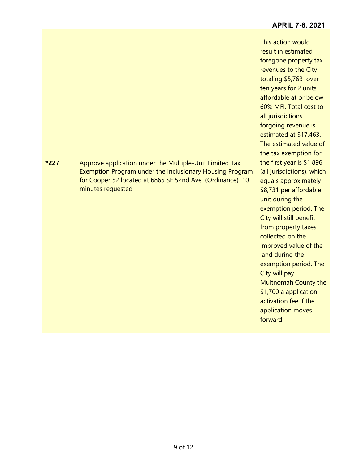This action would result in estimated foregone property tax revenues to the City totaling \$5,763 over ten years for 2 units affordable at or below 60% MFI. Total cost to all jurisdictions forgoing revenue is estimated at \$17,463. The estimated value of the tax exemption for the first year is \$1,896 (all jurisdictions), which equals approximately \$8,731 per affordable unit during the exemption period. The City will still benefit from property taxes collected on the improved value of the land during the exemption period. The City will pay Multnomah County the \$1,700 a application activation fee if the application moves forward.

**\*227** Approve application under the Multiple-Unit Limited Tax Exemption Program under the Inclusionary Housing Program for Cooper 52 located at 6865 SE 52nd Ave (Ordinance) 10 minutes requested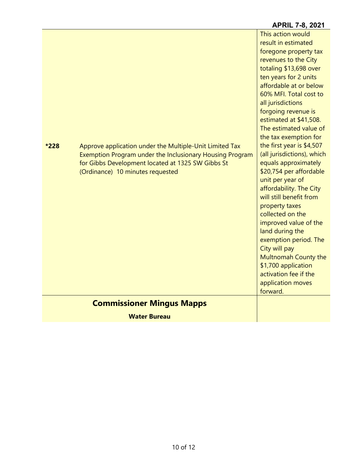|      |                                                                                                                                                                                                              | AI INL 170, 404 I                                                                                                                                                                                                                                                                                                                                                                                                                                                                                                                                                                                                                                                                            |
|------|--------------------------------------------------------------------------------------------------------------------------------------------------------------------------------------------------------------|----------------------------------------------------------------------------------------------------------------------------------------------------------------------------------------------------------------------------------------------------------------------------------------------------------------------------------------------------------------------------------------------------------------------------------------------------------------------------------------------------------------------------------------------------------------------------------------------------------------------------------------------------------------------------------------------|
| *228 | Approve application under the Multiple-Unit Limited Tax<br>Exemption Program under the Inclusionary Housing Program<br>for Gibbs Development located at 1325 SW Gibbs St<br>(Ordinance) 10 minutes requested | This action would<br>result in estimated<br>foregone property tax<br>revenues to the City<br>totaling \$13,698 over<br>ten years for 2 units<br>affordable at or below<br>60% MFI. Total cost to<br>all jurisdictions<br>forgoing revenue is<br>estimated at \$41,508.<br>The estimated value of<br>the tax exemption for<br>the first year is \$4,507<br>(all jurisdictions), which<br>equals approximately<br>\$20,754 per affordable<br>unit per year of<br>affordability. The City<br>will still benefit from<br>property taxes<br>collected on the<br>improved value of the<br>land during the<br>exemption period. The<br>City will pay<br>Multnomah County the<br>\$1,700 application |
|      |                                                                                                                                                                                                              | activation fee if the<br>application moves                                                                                                                                                                                                                                                                                                                                                                                                                                                                                                                                                                                                                                                   |
|      |                                                                                                                                                                                                              | forward.                                                                                                                                                                                                                                                                                                                                                                                                                                                                                                                                                                                                                                                                                     |
|      |                                                                                                                                                                                                              |                                                                                                                                                                                                                                                                                                                                                                                                                                                                                                                                                                                                                                                                                              |
|      | <b>Commissioner Mingus Mapps</b>                                                                                                                                                                             |                                                                                                                                                                                                                                                                                                                                                                                                                                                                                                                                                                                                                                                                                              |
|      | <b>Water Bureau</b>                                                                                                                                                                                          |                                                                                                                                                                                                                                                                                                                                                                                                                                                                                                                                                                                                                                                                                              |
|      |                                                                                                                                                                                                              |                                                                                                                                                                                                                                                                                                                                                                                                                                                                                                                                                                                                                                                                                              |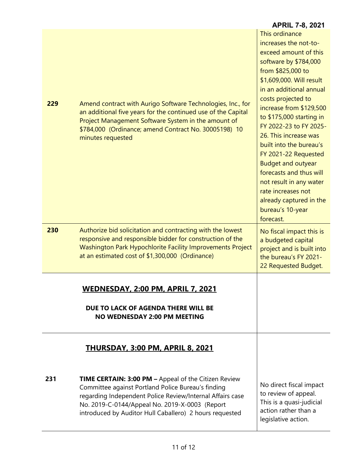|     |                                                                                                                                                                                                                                                                                             | <b>APRIL 7-8, 2021</b>                                                                                                                                                                                                                                                                                                                                                                                                                                                                                                        |
|-----|---------------------------------------------------------------------------------------------------------------------------------------------------------------------------------------------------------------------------------------------------------------------------------------------|-------------------------------------------------------------------------------------------------------------------------------------------------------------------------------------------------------------------------------------------------------------------------------------------------------------------------------------------------------------------------------------------------------------------------------------------------------------------------------------------------------------------------------|
| 229 | Amend contract with Aurigo Software Technologies, Inc., for<br>an additional five years for the continued use of the Capital<br>Project Management Software System in the amount of<br>\$784,000 (Ordinance; amend Contract No. 30005198) 10<br>minutes requested                           | This ordinance<br>increases the not-to-<br>exceed amount of this<br>software by \$784,000<br>from \$825,000 to<br>\$1,609,000. Will result<br>in an additional annual<br>costs projected to<br>increase from \$129,500<br>to \$175,000 starting in<br>FY 2022-23 to FY 2025-<br>26. This increase was<br>built into the bureau's<br>FY 2021-22 Requested<br><b>Budget and outyear</b><br>forecasts and thus will<br>not result in any water<br>rate increases not<br>already captured in the<br>bureau's 10-year<br>forecast. |
| 230 | Authorize bid solicitation and contracting with the lowest<br>responsive and responsible bidder for construction of the<br>Washington Park Hypochlorite Facility Improvements Project<br>at an estimated cost of \$1,300,000 (Ordinance)                                                    | No fiscal impact this is<br>a budgeted capital<br>project and is built into<br>the bureau's FY 2021-<br>22 Requested Budget.                                                                                                                                                                                                                                                                                                                                                                                                  |
|     | <u>WEDNESDAY, 2:00 PM, APRIL 7, 2021</u><br>DUE TO LACK OF AGENDA THERE WILL BE                                                                                                                                                                                                             |                                                                                                                                                                                                                                                                                                                                                                                                                                                                                                                               |
|     | <b>NO WEDNESDAY 2:00 PM MEETING</b>                                                                                                                                                                                                                                                         |                                                                                                                                                                                                                                                                                                                                                                                                                                                                                                                               |
|     | <b>THURSDAY, 3:00 PM, APRIL 8, 2021</b>                                                                                                                                                                                                                                                     |                                                                                                                                                                                                                                                                                                                                                                                                                                                                                                                               |
| 231 | <b>TIME CERTAIN: 3:00 PM - Appeal of the Citizen Review</b><br>Committee against Portland Police Bureau's finding<br>regarding Independent Police Review/Internal Affairs case<br>No. 2019-C-0144/Appeal No. 2019-X-0003 (Report<br>introduced by Auditor Hull Caballero) 2 hours requested | No direct fiscal impact<br>to review of appeal.<br>This is a quasi-judicial<br>action rather than a<br>legislative action.                                                                                                                                                                                                                                                                                                                                                                                                    |